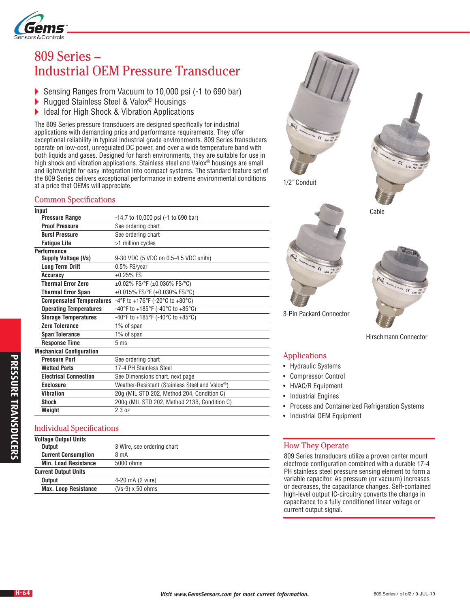

# 809 Series – Industrial OEM Pressure Transducer

- ▶ Sensing Ranges from Vacuum to 10,000 psi (-1 to 690 bar)<br>▶ Rugged Stainless Steel & Valox® Housings
- Rugged Stainless Steel & Valox® Housings
- ▶ Ideal for High Shock & Vibration Applications

The 809 Series pressure transducers are designed specifically for industrial applications with demanding price and performance requirements. They offer exceptional reliability in typical industrial grade environments. 809 Series transducers operate on low-cost, unregulated DC power, and over a wide temperature band with both liquids and gases. Designed for harsh environments, they are suitable for use in high shock and vibration applications. Stainless steel and Valox® housings are small and lightweight for easy integration into compact systems. The standard feature set of the 809 Series delivers exceptional performance in extreme environmental conditions at a price that OEMs will appreciate.

### Common Specifications

|                                 | Input                         |                                                          |
|---------------------------------|-------------------------------|----------------------------------------------------------|
|                                 | <b>Pressure Range</b>         | $-14.7$ to 10,000 psi ( $-1$ to 690 bar)                 |
|                                 | <b>Proof Pressure</b>         | See ordering chart                                       |
|                                 | <b>Burst Pressure</b>         | See ordering chart                                       |
|                                 | <b>Fatigue Life</b>           | >1 million cycles                                        |
|                                 | Performance                   |                                                          |
|                                 | Supply Voltage (Vs)           | 9-30 VDC (5 VDC on 0.5-4.5 VDC units)                    |
|                                 | <b>Long Term Drift</b>        | 0.5% FS/year                                             |
|                                 | Accuracy                      | $±0.25%$ FS                                              |
|                                 | <b>Thermal Error Zero</b>     | ±0.02% FS/°F (±0.036% FS/°C)                             |
|                                 | <b>Thermal Error Span</b>     | ±0.015% FS/°F (±0.030% FS/°C)                            |
|                                 |                               | Compensated Temperatures -4°F to +176°F (-20°C to +80°C) |
|                                 | <b>Operating Temperatures</b> | -40°F to +185°F (-40°C to +85°C)                         |
|                                 | <b>Storage Temperatures</b>   | -40°F to +185°F (-40°C to +85°C)                         |
|                                 | <b>Zero Tolerance</b>         | 1% of span                                               |
|                                 | <b>Span Tolerance</b>         | 1% of span                                               |
|                                 | <b>Response Time</b>          | 5 <sub>ms</sub>                                          |
| <b>Mechanical Configuration</b> |                               |                                                          |
|                                 | <b>Pressure Port</b>          | See ordering chart                                       |
|                                 | <b>Wetted Parts</b>           | 17-4 PH Stainless Steel                                  |
|                                 | <b>Electrical Connection</b>  | See Dimensions chart, next page                          |
|                                 | <b>Enclosure</b>              | Weather-Resistant (Stainless Steel and Valox®)           |
|                                 | <b>Vibration</b>              | 20g (MIL STD 202, Method 204, Condition C)               |
|                                 | Shock                         | 200g (MIL STD 202, Method 213B, Condition C)             |
|                                 | Weight                        | 2.3 oz                                                   |
|                                 |                               |                                                          |

#### Individual Specifications

| 3 Wire, see ordering chart |
|----------------------------|
| 8 mA                       |
| 5000 ohms                  |
|                            |
| 4-20 mA (2 wire)           |
| $(Vs-9) \times 50$ ohms    |
|                            |







Cable





Hirschmann Connector

#### Applications

- Hydraulic Systems
- Compressor Control
- HVAC/R Equipment
- Industrial Engines
- Process and Containerized Refrigeration Systems
- Industrial OEM Equipment

#### How They Operate

809 Series transducers utilize a proven center mount electrode configuration combined with a durable 17-4 PH stainless steel pressure sensing element to form a variable capacitor. As pressure (or vacuum) increases or decreases, the capacitance changes. Self-contained high-level output IC-circuitry converts the change in capacitance to a fully conditioned linear voltage or current output signal.